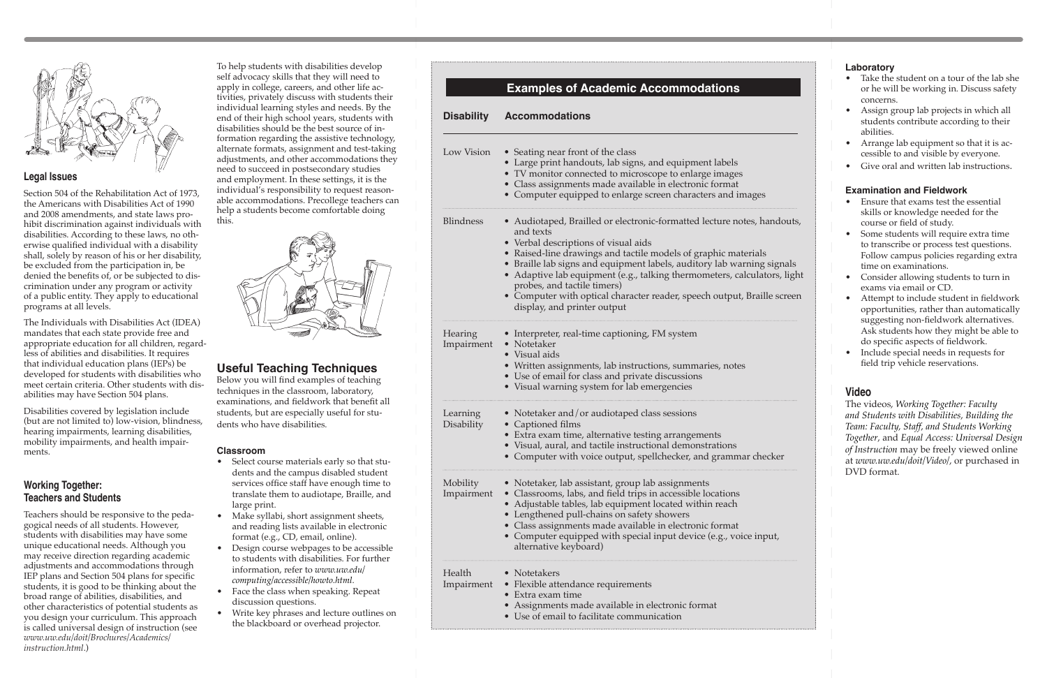

# **Legal Issues**

Section 504 of the Rehabilitation Act of 1973, the Americans with Disabilities Act of 1990 and 2008 amendments, and state laws prohibit discrimination against individuals with disabilities. According to these laws, no otherwise qualified individual with a disability shall, solely by reason of his or her disability, be excluded from the participation in, be denied the benefits of, or be subjected to discrimination under any program or activity of a public entity. They apply to educational programs at all levels.

The Individuals with Disabilities Act (IDEA) mandates that each state provide free and appropriate education for all children, regardless of abilities and disabilities. It requires that individual education plans (IEPs) be developed for students with disabilities who meet certain criteria. Other students with disabilities may have Section 504 plans.

Disabilities covered by legislation include (but are not limited to) low-vision, blindness, hearing impairments, learning disabilities, mobility impairments, and health impairments.

# **Working Together: Teachers and Students**

Teachers should be responsive to the pedagogical needs of all students. However, students with disabilities may have some unique educational needs. Although you may receive direction regarding academic adjustments and accommodations through IEP plans and Section 504 plans for specific students, it is good to be thinking about the broad range of abilities, disabilities, and other characteristics of potential students as you design your curriculum. This approach is called universal design of instruction (see *[www.uw.edu/doit/Brochures/Academics/](http://www.washington.edu/doit/Brochures/Academics/instruction.html) [instruction.html](http://www.washington.edu/doit/Brochures/Academics/instruction.html)*.)

To help students with disabilities develop self advocacy skills that they will need to apply in college, careers, and other life activities, privately discuss with students their individual learning styles and needs. By the end of their high school years, students with disabilities should be the best source of information regarding the assistive technology, alternate formats, assignment and test-taking adjustments, and other accommodations they need to succeed in postsecondary studies and employment. In these settings, it is the individual's responsibility to request reasonable accommodations. Precollege teachers can help a students become comfortable doing this.



# **Useful Teaching Techniques**

Below you will find examples of teaching techniques in the classroom, laboratory, examinations, and fieldwork that benefit all students, but are especially useful for students who have disabilities.

### **Classroom**

- Select course materials early so that students and the campus disabled student services office staff have enough time to translate them to audiotape, Braille, and large print.
- Make syllabi, short assignment sheets, and reading lists available in electronic format (e.g., CD, email, online).
- Design course webpages to be accessible to students with disabilities. For further information, refer to *[www.uw.edu/](http://www.uw.edu/computing/accessible/howto.html) [computing/accessible/howto.html](http://www.uw.edu/computing/accessible/howto.html)*.
- Face the class when speaking. Repeat discussion questions.
- Write key phrases and lecture outlines on the blackboard or overhead projector.

|                               | <b>Examples of Academic Accommodations</b>                                                                                                                                                                                                                                                                                                                                                                                                                                                  |
|-------------------------------|---------------------------------------------------------------------------------------------------------------------------------------------------------------------------------------------------------------------------------------------------------------------------------------------------------------------------------------------------------------------------------------------------------------------------------------------------------------------------------------------|
| <b>Disability</b>             | <b>Accommodations</b>                                                                                                                                                                                                                                                                                                                                                                                                                                                                       |
| Low Vision                    | • Seating near front of the class<br>• Large print handouts, lab signs, and equipment labels<br>• TV monitor connected to microscope to enlarge images<br>• Class assignments made available in electronic format<br>• Computer equipped to enlarge screen characters and images                                                                                                                                                                                                            |
| <b>Blindness</b>              | • Audiotaped, Brailled or electronic-formatted lecture notes, handouts,<br>and texts<br>• Verbal descriptions of visual aids<br>• Raised-line drawings and tactile models of graphic materials<br>• Braille lab signs and equipment labels, auditory lab warning signals<br>Adaptive lab equipment (e.g., talking thermometers, calculators, light<br>probes, and tactile timers)<br>• Computer with optical character reader, speech output, Braille screen<br>display, and printer output |
| Hearing<br>Impairment         | • Interpreter, real-time captioning, FM system<br>• Notetaker<br>• Visual aids<br>• Written assignments, lab instructions, summaries, notes<br>• Use of email for class and private discussions<br>• Visual warning system for lab emergencies                                                                                                                                                                                                                                              |
| Learning<br><b>Disability</b> | • Notetaker and/or audiotaped class sessions<br>• Captioned films<br>• Extra exam time, alternative testing arrangements<br>• Visual, aural, and tactile instructional demonstrations<br>• Computer with voice output, spellchecker, and grammar checker                                                                                                                                                                                                                                    |
| Mobility<br>Impairment        | • Notetaker, lab assistant, group lab assignments<br>• Classrooms, labs, and field trips in accessible locations<br>• Adjustable tables, lab equipment located within reach<br>• Lengthened pull-chains on safety showers<br>• Class assignments made available in electronic format<br>• Computer equipped with special input device (e.g., voice input,<br>alternative keyboard)                                                                                                          |
| Health<br>Impairment          | $\bullet$ Notetakers<br>• Flexible attendance requirements<br>• Extra exam time<br>Assignments made available in electronic format<br>• Use of email to facilitate communication                                                                                                                                                                                                                                                                                                            |

| ndouts,               |
|-----------------------|
| signals<br>ors, light |
| e screen              |

### **Laboratory**

- Take the student on a tour of the lab she or he will be working in. Discuss safety concerns.
- Assign group lab projects in which all students contribute according to their abilities.
- Arrange lab equipment so that it is accessible to and visible by everyone.
- Give oral and written lab instructions.

### **Examination and Fieldwork**

- Ensure that exams test the essential skills or knowledge needed for the course or field of study.
- Some students will require extra time to transcribe or process test questions. Follow campus policies regarding extra time on examinations.
- Consider allowing students to turn in exams via email or CD.
- Attempt to include student in fieldwork opportunities, rather than automatically suggesting non-fieldwork alternatives. Ask students how they might be able to do specific aspects of fieldwork.
- Include special needs in requests for field trip vehicle reservations.

# **Video**

The videos, *Working Together: Faculty and Students with Disabilities*, *Building the Team: Faculty, Staff, and Students Working Together*, and *Equal Access: Universal Design of Instruction* may be freely viewed online at *[www.uw.edu/doit/Video/](http://www.uw.edu/doit/Video/)*, or purchased in DVD format.